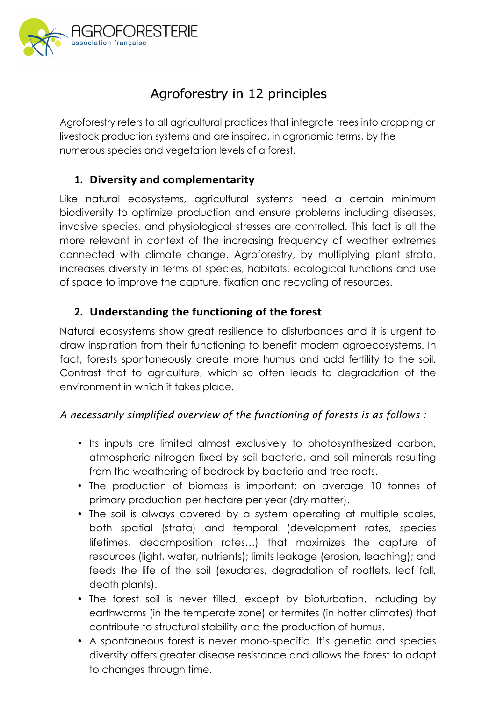

# Agroforestry in 12 principles

Agroforestry refers to all agricultural practices that integrate trees into cropping or livestock production systems and are inspired, in agronomic terms, by the numerous species and vegetation levels of a forest.

#### **1. Diversity and complementarity**

Like natural ecosystems, agricultural systems need a certain minimum biodiversity to optimize production and ensure problems including diseases, invasive species, and physiological stresses are controlled. This fact is all the more relevant in context of the increasing frequency of weather extremes connected with climate change. Agroforestry, by multiplying plant strata, increases diversity in terms of species, habitats, ecological functions and use of space to improve the capture, fixation and recycling of resources.

## 2. Understanding the functioning of the forest

Natural ecosystems show great resilience to disturbances and it is urgent to draw inspiration from their functioning to benefit modern agroecosystems. In fact, forests spontaneously create more humus and add fertility to the soil. Contrast that to agriculture, which so often leads to degradation of the environment in which it takes place.

#### *A necessarily simplified overview of the functioning of forests is as follows :*

- Its inputs are limited almost exclusively to photosynthesized carbon, atmospheric nitrogen fixed by soil bacteria, and soil minerals resulting from the weathering of bedrock by bacteria and tree roots.
- The production of biomass is important: on average 10 tonnes of primary production per hectare per year (dry matter).
- The soil is always covered by a system operating at multiple scales, both spatial (strata) and temporal (development rates, species lifetimes, decomposition rates…) that maximizes the capture of resources (light, water, nutrients); limits leakage (erosion, leaching); and feeds the life of the soil (exudates, degradation of rootlets, leaf fall, death plants).
- The forest soil is never tilled, except by bioturbation, including by earthworms (in the temperate zone) or termites (in hotter climates) that contribute to structural stability and the production of humus.
- A spontaneous forest is never mono-specific. It's genetic and species diversity offers greater disease resistance and allows the forest to adapt to changes through time.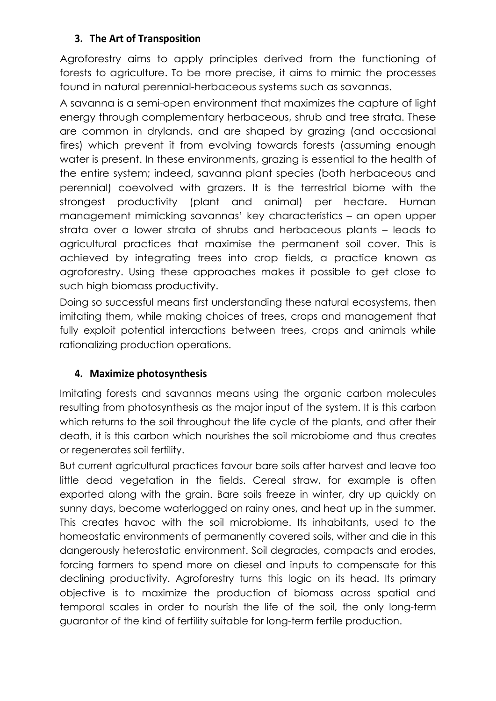#### **3. The Art of Transposition**

Agroforestry aims to apply principles derived from the functioning of forests to agriculture. To be more precise, it aims to mimic the processes found in natural perennial-herbaceous systems such as savannas.

A savanna is a semi-open environment that maximizes the capture of light energy through complementary herbaceous, shrub and tree strata. These are common in drylands, and are shaped by grazing (and occasional fires) which prevent it from evolving towards forests (assuming enough water is present. In these environments, grazing is essential to the health of the entire system; indeed, savanna plant species (both herbaceous and perennial) coevolved with grazers. It is the terrestrial biome with the strongest productivity (plant and animal) per hectare. Human management mimicking savannas' key characteristics – an open upper strata over a lower strata of shrubs and herbaceous plants – leads to agricultural practices that maximise the permanent soil cover. This is achieved by integrating trees into crop fields, a practice known as agroforestry. Using these approaches makes it possible to get close to such high biomass productivity.

Doing so successful means first understanding these natural ecosystems, then imitating them, while making choices of trees, crops and management that fully exploit potential interactions between trees, crops and animals while rationalizing production operations.

#### **4. Maximize photosynthesis**

Imitating forests and savannas means using the organic carbon molecules resulting from photosynthesis as the major input of the system. It is this carbon which returns to the soil throughout the life cycle of the plants, and after their death, it is this carbon which nourishes the soil microbiome and thus creates or regenerates soil fertility.

But current agricultural practices favour bare soils after harvest and leave too little dead vegetation in the fields. Cereal straw, for example is often exported along with the grain. Bare soils freeze in winter, dry up quickly on sunny days, become waterlogged on rainy ones, and heat up in the summer. This creates havoc with the soil microbiome. Its inhabitants, used to the homeostatic environments of permanently covered soils, wither and die in this dangerously heterostatic environment. Soil degrades, compacts and erodes, forcing farmers to spend more on diesel and inputs to compensate for this declining productivity. Agroforestry turns this logic on its head. Its primary objective is to maximize the production of biomass across spatial and temporal scales in order to nourish the life of the soil, the only long-term guarantor of the kind of fertility suitable for long-term fertile production.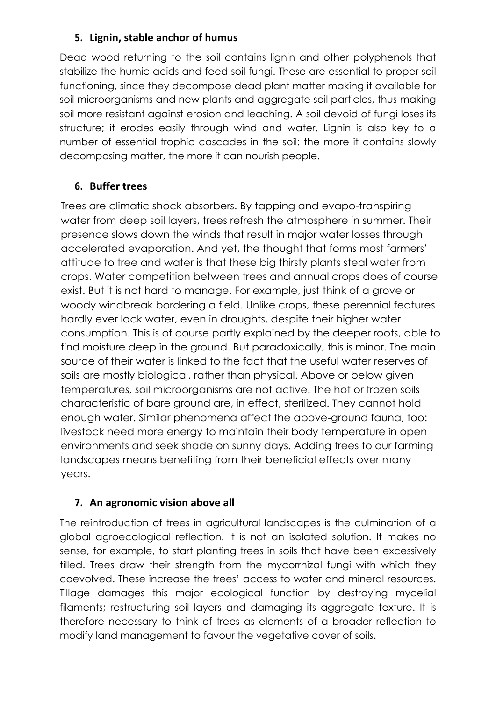#### **5. Lignin, stable anchor of humus**

Dead wood returning to the soil contains lignin and other polyphenols that stabilize the humic acids and feed soil fungi. These are essential to proper soil functioning, since they decompose dead plant matter making it available for soil microorganisms and new plants and aggregate soil particles, thus making soil more resistant against erosion and leaching. A soil devoid of fungi loses its structure; it erodes easily through wind and water. Lignin is also key to a number of essential trophic cascades in the soil: the more it contains slowly decomposing matter, the more it can nourish people.

#### **6. Buffer trees**

Trees are climatic shock absorbers. By tapping and evapo-transpiring water from deep soil layers, trees refresh the atmosphere in summer. Their presence slows down the winds that result in major water losses through accelerated evaporation. And yet, the thought that forms most farmers' attitude to tree and water is that these big thirsty plants steal water from crops. Water competition between trees and annual crops does of course exist. But it is not hard to manage. For example, just think of a grove or woody windbreak bordering a field. Unlike crops, these perennial features hardly ever lack water, even in droughts, despite their higher water consumption. This is of course partly explained by the deeper roots, able to find moisture deep in the ground. But paradoxically, this is minor. The main source of their water is linked to the fact that the useful water reserves of soils are mostly biological, rather than physical. Above or below given temperatures, soil microorganisms are not active. The hot or frozen soils characteristic of bare ground are, in effect, sterilized. They cannot hold enough water. Similar phenomena affect the above-ground fauna, too: livestock need more energy to maintain their body temperature in open environments and seek shade on sunny days. Adding trees to our farming landscapes means benefiting from their beneficial effects over many years.

#### **7.** An agronomic vision above all

The reintroduction of trees in agricultural landscapes is the culmination of a global agroecological reflection. It is not an isolated solution. It makes no sense, for example, to start planting trees in soils that have been excessively tilled. Trees draw their strength from the mycorrhizal fungi with which they coevolved. These increase the trees' access to water and mineral resources. Tillage damages this major ecological function by destroying mycelial filaments; restructuring soil layers and damaging its aggregate texture. It is therefore necessary to think of trees as elements of a broader reflection to modify land management to favour the vegetative cover of soils.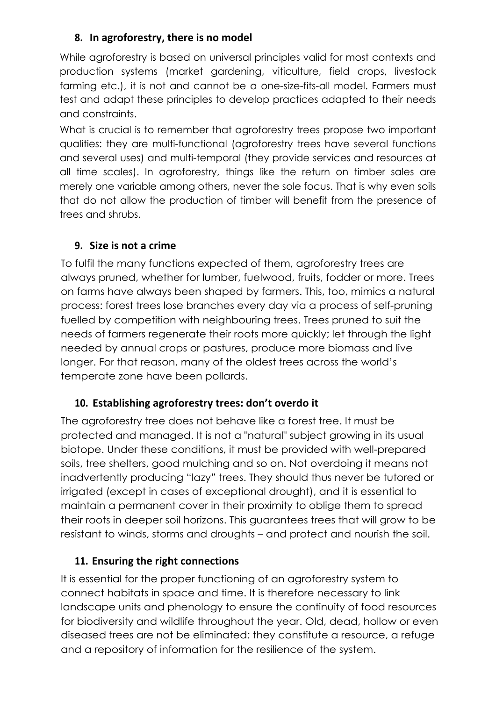## **8. In agroforestry, there is no model**

While agroforestry is based on universal principles valid for most contexts and production systems (market gardening, viticulture, field crops, livestock farming etc.), it is not and cannot be a one-size-fits-all model. Farmers must test and adapt these principles to develop practices adapted to their needs and constraints.

What is crucial is to remember that agroforestry trees propose two important qualities: they are multi-functional (agroforestry trees have several functions and several uses) and multi-temporal (they provide services and resources at all time scales). In agroforestry, things like the return on timber sales are merely one variable among others, never the sole focus. That is why even soils that do not allow the production of timber will benefit from the presence of trees and shrubs.

## **9.** Size is not a crime

To fulfil the many functions expected of them, agroforestry trees are always pruned, whether for lumber, fuelwood, fruits, fodder or more. Trees on farms have always been shaped by farmers. This, too, mimics a natural process: forest trees lose branches every day via a process of self-pruning fuelled by competition with neighbouring trees. Trees pruned to suit the needs of farmers regenerate their roots more quickly; let through the light needed by annual crops or pastures, produce more biomass and live longer. For that reason, many of the oldest trees across the world's temperate zone have been pollards.

# 10. Establishing agroforestry trees: don't overdo it

The agroforestry tree does not behave like a forest tree. It must be protected and managed. It is not a "natural" subject growing in its usual biotope. Under these conditions, it must be provided with well-prepared soils, tree shelters, good mulching and so on. Not overdoing it means not inadvertently producing "lazy" trees. They should thus never be tutored or irrigated (except in cases of exceptional drought), and it is essential to maintain a permanent cover in their proximity to oblige them to spread their roots in deeper soil horizons. This guarantees trees that will grow to be resistant to winds, storms and droughts – and protect and nourish the soil.

# **11. Ensuring the right connections**

It is essential for the proper functioning of an agroforestry system to connect habitats in space and time. It is therefore necessary to link landscape units and phenology to ensure the continuity of food resources for biodiversity and wildlife throughout the year. Old, dead, hollow or even diseased trees are not be eliminated: they constitute a resource, a refuge and a repository of information for the resilience of the system.